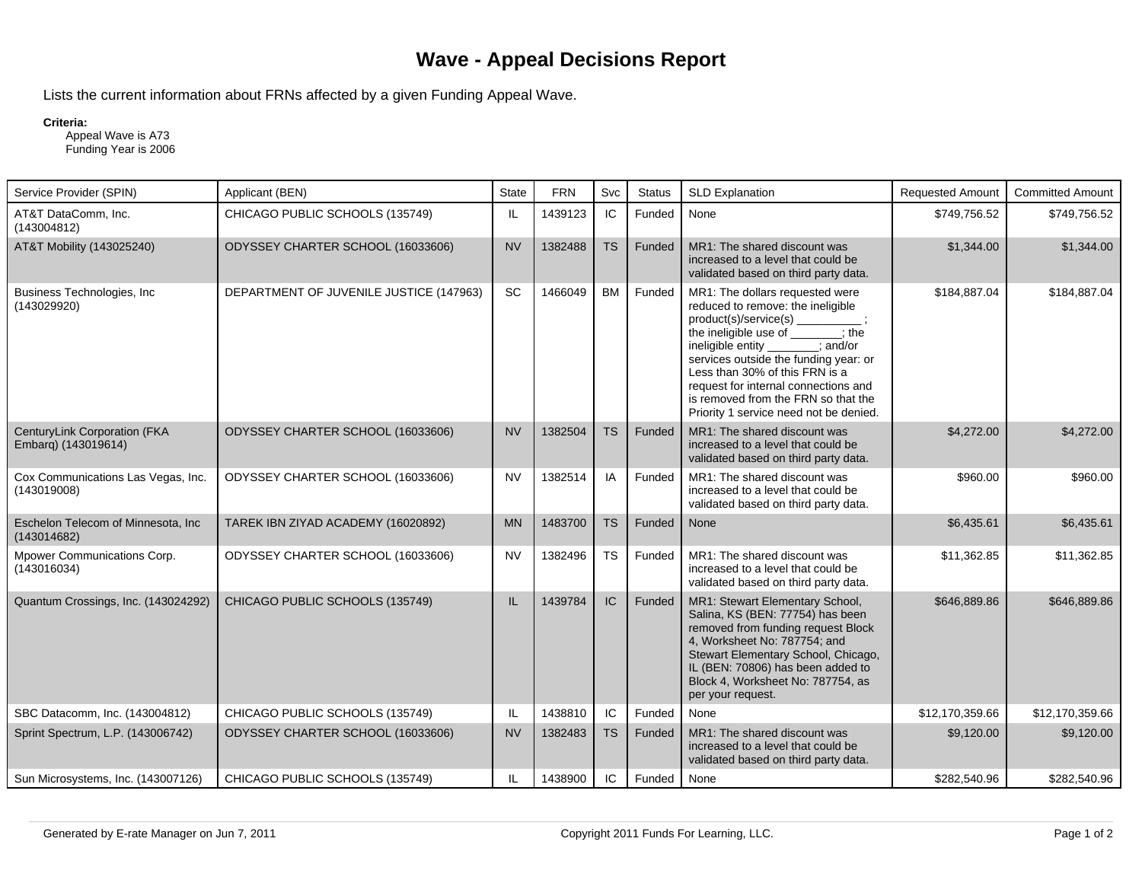## **Wave - Appeal Decisions Report**

Lists the current information about FRNs affected by a given Funding Appeal Wave.

## **Criteria:**

 Appeal Wave is A73 Funding Year is 2006

| Service Provider (SPIN)                             | Applicant (BEN)                         | <b>State</b> | <b>FRN</b> | Svc       | <b>Status</b> | <b>SLD Explanation</b>                                                                                                                                                                                                                                                                                                                                            | <b>Requested Amount</b> | <b>Committed Amount</b> |
|-----------------------------------------------------|-----------------------------------------|--------------|------------|-----------|---------------|-------------------------------------------------------------------------------------------------------------------------------------------------------------------------------------------------------------------------------------------------------------------------------------------------------------------------------------------------------------------|-------------------------|-------------------------|
| AT&T DataComm, Inc.<br>(143004812)                  | CHICAGO PUBLIC SCHOOLS (135749)         | IL           | 1439123    | IC        | Funded        | None                                                                                                                                                                                                                                                                                                                                                              | \$749.756.52            | \$749,756.52            |
| AT&T Mobility (143025240)                           | ODYSSEY CHARTER SCHOOL (16033606)       | <b>NV</b>    | 1382488    | <b>TS</b> | Funded        | MR1: The shared discount was<br>increased to a level that could be<br>validated based on third party data.                                                                                                                                                                                                                                                        | \$1,344.00              | \$1,344.00              |
| Business Technologies, Inc.<br>(143029920)          | DEPARTMENT OF JUVENILE JUSTICE (147963) | <b>SC</b>    | 1466049    | <b>BM</b> | Funded        | MR1: The dollars requested were<br>reduced to remove: the ineligible<br>product(s)/service(s)<br>the ineligible use of : the<br>ineligible entity<br>: and/or<br>services outside the funding year: or<br>Less than 30% of this FRN is a<br>request for internal connections and<br>is removed from the FRN so that the<br>Priority 1 service need not be denied. | \$184,887.04            | \$184.887.04            |
| CenturyLink Corporation (FKA<br>Embarg) (143019614) | ODYSSEY CHARTER SCHOOL (16033606)       | <b>NV</b>    | 1382504    | <b>TS</b> | Funded        | MR1: The shared discount was<br>increased to a level that could be<br>validated based on third party data.                                                                                                                                                                                                                                                        | \$4,272.00              | \$4,272.00              |
| Cox Communications Las Vegas, Inc.<br>(143019008)   | ODYSSEY CHARTER SCHOOL (16033606)       | <b>NV</b>    | 1382514    | IA        | Funded        | MR1: The shared discount was<br>increased to a level that could be<br>validated based on third party data.                                                                                                                                                                                                                                                        | \$960.00                | \$960.00                |
| Eschelon Telecom of Minnesota, Inc.<br>(143014682)  | TAREK IBN ZIYAD ACADEMY (16020892)      | <b>MN</b>    | 1483700    | <b>TS</b> | Funded        | None                                                                                                                                                                                                                                                                                                                                                              | \$6,435.61              | \$6,435.61              |
| Mpower Communications Corp.<br>(143016034)          | ODYSSEY CHARTER SCHOOL (16033606)       | <b>NV</b>    | 1382496    | <b>TS</b> | Funded        | MR1: The shared discount was<br>increased to a level that could be<br>validated based on third party data.                                                                                                                                                                                                                                                        | \$11,362.85             | \$11,362.85             |
| Quantum Crossings, Inc. (143024292)                 | CHICAGO PUBLIC SCHOOLS (135749)         | IL.          | 1439784    | IC        | Funded        | MR1: Stewart Elementary School,<br>Salina, KS (BEN: 77754) has been<br>removed from funding request Block<br>4, Worksheet No: 787754; and<br>Stewart Elementary School, Chicago,<br>IL (BEN: 70806) has been added to<br>Block 4, Worksheet No: 787754, as<br>per your request.                                                                                   | \$646,889.86            | \$646,889.86            |
| SBC Datacomm, Inc. (143004812)                      | CHICAGO PUBLIC SCHOOLS (135749)         | IL           | 1438810    | IC        | Funded        | None                                                                                                                                                                                                                                                                                                                                                              | \$12,170,359.66         | \$12,170,359.66         |
| Sprint Spectrum, L.P. (143006742)                   | ODYSSEY CHARTER SCHOOL (16033606)       | <b>NV</b>    | 1382483    | <b>TS</b> | Funded        | MR1: The shared discount was<br>increased to a level that could be<br>validated based on third party data.                                                                                                                                                                                                                                                        | \$9,120.00              | \$9,120.00              |
| Sun Microsystems, Inc. (143007126)                  | CHICAGO PUBLIC SCHOOLS (135749)         | IL           | 1438900    | IC        | Funded        | None                                                                                                                                                                                                                                                                                                                                                              | \$282,540.96            | \$282,540.96            |